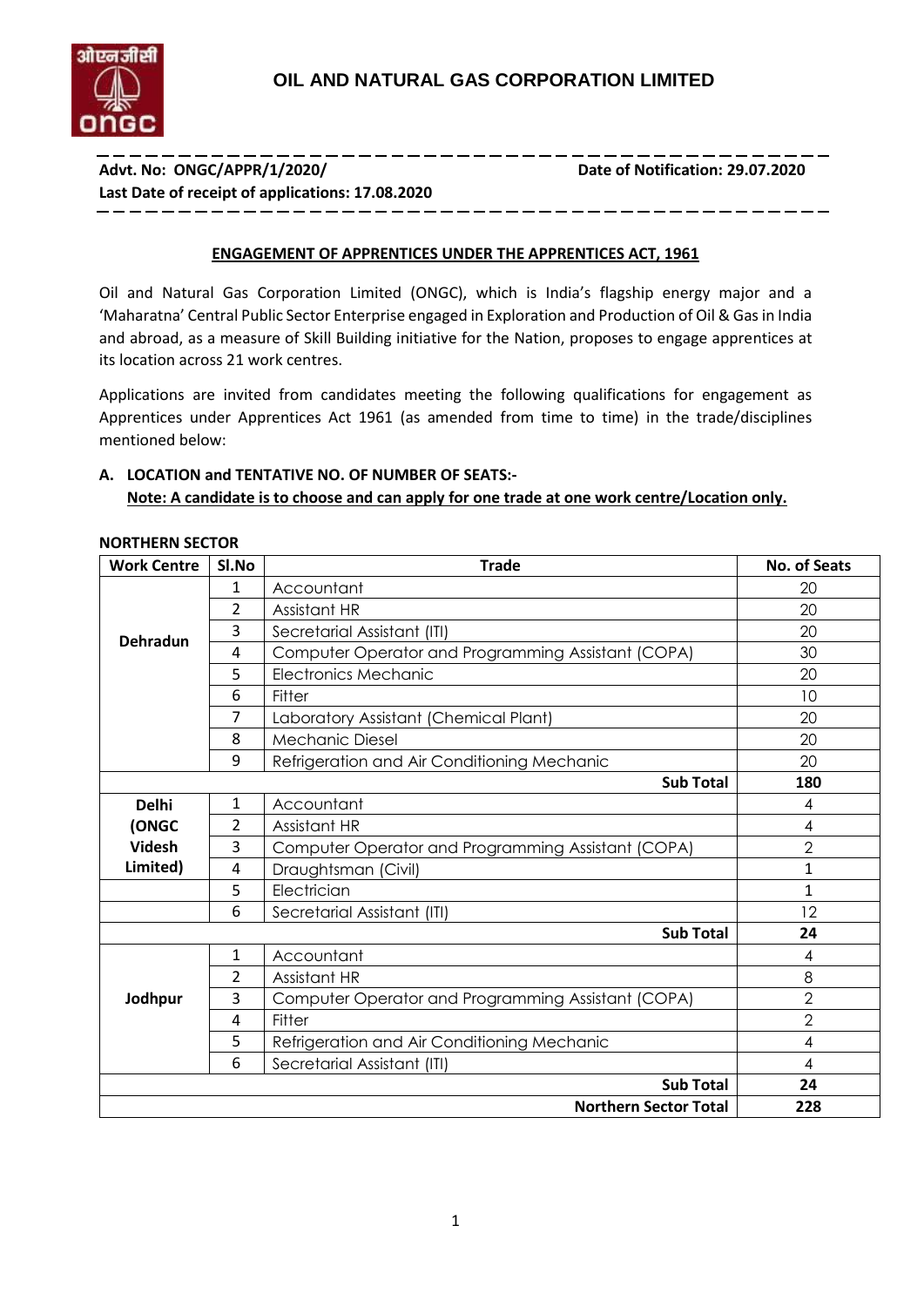

---------------**Advt. No: ONGC/APPR/1/2020/ Date of Notification: 29.07.2020 Last Date of receipt of applications: 17.08.2020**

#### **ENGAGEMENT OF APPRENTICES UNDER THE APPRENTICES ACT, 1961**

Oil and Natural Gas Corporation Limited (ONGC), which is India's flagship energy major and a 'Maharatna' Central Public Sector Enterprise engaged in Exploration and Production of Oil & Gas in India and abroad, as a measure of Skill Building initiative for the Nation, proposes to engage apprentices at its location across 21 work centres.

Applications are invited from candidates meeting the following qualifications for engagement as Apprentices under Apprentices Act 1961 (as amended from time to time) in the trade/disciplines mentioned below:

# **A. LOCATION and TENTATIVE NO. OF NUMBER OF SEATS:- Note: A candidate is to choose and can apply for one trade at one work centre/Location only.**

| <b>Work Centre</b> | SI.No<br><b>Trade</b>                                   |                                                    |                |  |
|--------------------|---------------------------------------------------------|----------------------------------------------------|----------------|--|
|                    | 1                                                       | Accountant                                         | 20             |  |
|                    | 2                                                       | Assistant HR                                       | 20             |  |
| <b>Dehradun</b>    | 3                                                       | Secretarial Assistant (ITI)                        | 20             |  |
|                    | 4                                                       | Computer Operator and Programming Assistant (COPA) | 30             |  |
|                    | 5                                                       | <b>Electronics Mechanic</b>                        | 20             |  |
|                    | 6                                                       | Fitter                                             | 10             |  |
|                    | 7                                                       | Laboratory Assistant (Chemical Plant)              | 20             |  |
|                    | 8                                                       | <b>Mechanic Diesel</b>                             | 20             |  |
|                    | 9                                                       | Refrigeration and Air Conditioning Mechanic        | 20             |  |
|                    |                                                         | <b>Sub Total</b>                                   | 180            |  |
| <b>Delhi</b>       | Accountant<br>1                                         |                                                    | 4              |  |
| (ONGC              | $\overline{2}$<br>Assistant HR                          |                                                    |                |  |
| <b>Videsh</b>      | 3<br>Computer Operator and Programming Assistant (COPA) |                                                    | $\overline{2}$ |  |
| Limited)           | 4<br>Draughtsman (Civil)                                |                                                    | $\mathbf{1}$   |  |
|                    | 5<br>Electrician                                        |                                                    | 1              |  |
|                    | 6<br>Secretarial Assistant (ITI)                        |                                                    | 12             |  |
|                    |                                                         | <b>Sub Total</b>                                   | 24             |  |
|                    | 1                                                       | Accountant                                         | 4              |  |
|                    | $\overline{2}$                                          | Assistant HR                                       | 8              |  |
| Jodhpur            | 3                                                       | Computer Operator and Programming Assistant (COPA) | $\overline{2}$ |  |
|                    | 4                                                       | Fitter                                             | $\overline{2}$ |  |
|                    | 5                                                       | Refrigeration and Air Conditioning Mechanic        | 4              |  |
|                    | 6                                                       | Secretarial Assistant (ITI)                        | 4              |  |
|                    |                                                         | <b>Sub Total</b>                                   | 24             |  |
|                    |                                                         | <b>Northern Sector Total</b>                       | 228            |  |

#### **NORTHERN SECTOR**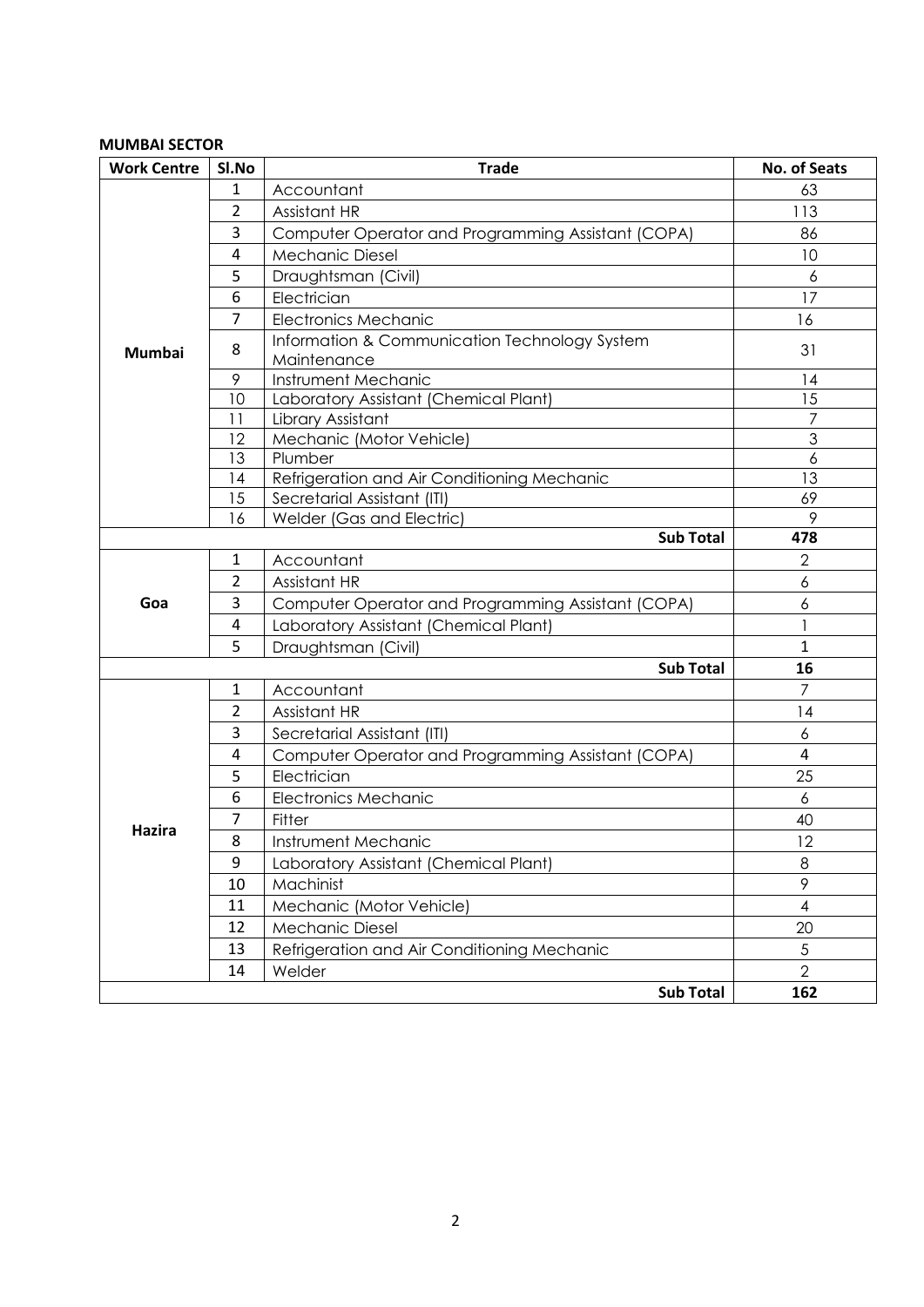## **MUMBAI SECTOR**

| <b>Work Centre</b> | Sl.No          | <b>Trade</b>                                                 | <b>No. of Seats</b> |
|--------------------|----------------|--------------------------------------------------------------|---------------------|
|                    | 1              | Accountant                                                   | 63                  |
|                    | $\overline{2}$ | Assistant HR                                                 | 113                 |
|                    | 3              | Computer Operator and Programming Assistant (COPA)           | 86                  |
|                    | 4              | <b>Mechanic Diesel</b>                                       | 10                  |
|                    | 5              | Draughtsman (Civil)                                          | 6                   |
|                    | 6              | Electrician                                                  | 17                  |
|                    | $\overline{7}$ | <b>Electronics Mechanic</b>                                  | 16                  |
| <b>Mumbai</b>      | 8              | Information & Communication Technology System<br>Maintenance | 31                  |
|                    | 9              | Instrument Mechanic                                          | 14                  |
|                    | 10             | Laboratory Assistant (Chemical Plant)                        | 15                  |
|                    | 11             | Library Assistant                                            | $\overline{7}$      |
|                    | 12             | Mechanic (Motor Vehicle)                                     | $\mathfrak{S}$      |
|                    | 13             | Plumber                                                      | 6                   |
|                    | 14             | Refrigeration and Air Conditioning Mechanic                  | 13                  |
|                    | 15<br>16       | Secretarial Assistant (ITI)<br>Welder (Gas and Electric)     | 69                  |
|                    | 9              |                                                              |                     |
|                    |                | <b>Sub Total</b>                                             | 478                 |
|                    | 1              | Accountant                                                   | $\mathbf{2}$        |
|                    | $\overline{2}$ | Assistant HR                                                 | 6                   |
| Goa                | 3              | Computer Operator and Programming Assistant (COPA)           | 6                   |
|                    | 4              | Laboratory Assistant (Chemical Plant)                        | 1                   |
|                    | 5              | Draughtsman (Civil)                                          | $\mathbf{1}$        |
|                    |                | <b>Sub Total</b>                                             | 16                  |
|                    | 1              | Accountant                                                   | $\overline{7}$      |
|                    | $\overline{2}$ | Assistant HR                                                 | 14                  |
|                    | 3              | Secretarial Assistant (ITI)                                  | 6                   |
|                    | 4              | Computer Operator and Programming Assistant (COPA)           | 4                   |
|                    | 5              | Electrician                                                  | 25                  |
|                    | 6              | <b>Electronics Mechanic</b>                                  | 6                   |
|                    | 7              | Fitter                                                       | 40                  |
| Hazira             | 8              | Instrument Mechanic                                          | 12                  |
|                    | 9              | Laboratory Assistant (Chemical Plant)                        | 8                   |
|                    | 10             | Machinist                                                    | 9                   |
|                    | 11             | Mechanic (Motor Vehicle)                                     | $\overline{4}$      |
|                    | 12             | <b>Mechanic Diesel</b>                                       | 20                  |
|                    | 13             | Refrigeration and Air Conditioning Mechanic                  | $\sqrt{5}$          |
|                    | 14             | Welder                                                       | $\overline{2}$      |
|                    |                | <b>Sub Total</b>                                             | 162                 |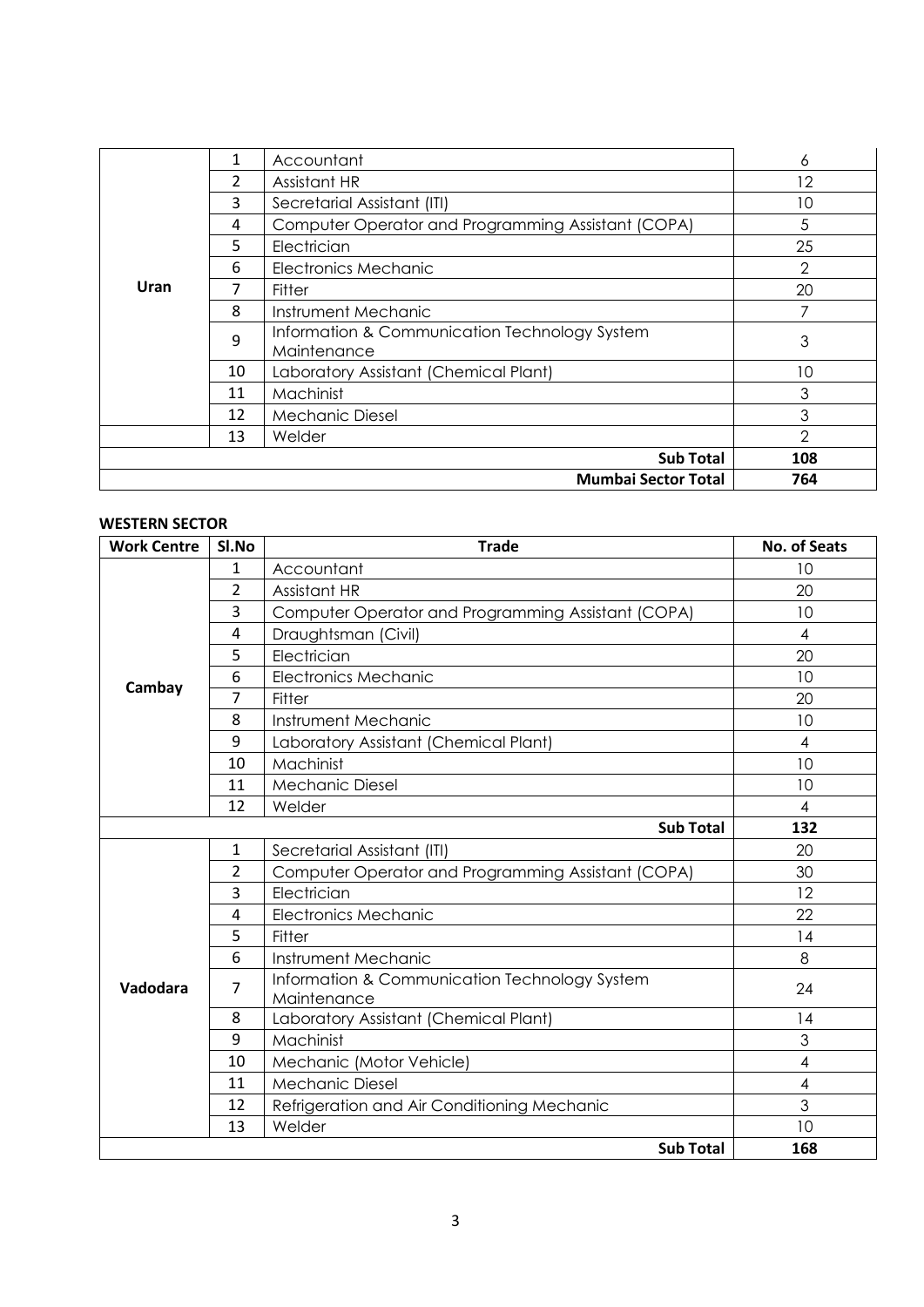|             | 1  | Accountant                                                   | 6              |
|-------------|----|--------------------------------------------------------------|----------------|
|             | 2  | Assistant HR                                                 | 12             |
|             | 3  | Secretarial Assistant (ITI)                                  | 10             |
|             | 4  | Computer Operator and Programming Assistant (COPA)           | 5              |
|             | 5  | Electrician                                                  | 25             |
|             | 6  | <b>Electronics Mechanic</b>                                  | $\overline{2}$ |
| <b>Uran</b> |    | Fitter                                                       | 20             |
| 8           |    | Instrument Mechanic                                          |                |
|             | 9  | Information & Communication Technology System<br>Maintenance | 3              |
|             | 10 | Laboratory Assistant (Chemical Plant)                        | 10             |
|             | 11 | Machinist                                                    | 3              |
|             | 12 | <b>Mechanic Diesel</b>                                       | 3              |
|             | 13 | Welder                                                       | $\mathcal{P}$  |
|             |    | <b>Sub Total</b>                                             | 108            |
|             |    | <b>Mumbai Sector Total</b>                                   | 764            |

#### **WESTERN SECTOR**

| <b>Work Centre</b> | <b>Trade</b><br>Sl.No |                                                              |                          |  |
|--------------------|-----------------------|--------------------------------------------------------------|--------------------------|--|
|                    | 1                     | Accountant                                                   | 10                       |  |
|                    | $\overline{2}$        | Assistant HR                                                 | 20                       |  |
|                    | 3                     | Computer Operator and Programming Assistant (COPA)           | 10                       |  |
|                    | 4                     | Draughtsman (Civil)                                          | $\overline{4}$           |  |
|                    | 5                     | Electrician                                                  | 20                       |  |
| Cambay             | 6                     | <b>Electronics Mechanic</b>                                  | 10                       |  |
|                    | 7                     | Fitter                                                       | 20                       |  |
|                    | 8                     | Instrument Mechanic                                          | 10                       |  |
|                    | 9                     | Laboratory Assistant (Chemical Plant)                        | $\overline{4}$           |  |
|                    | 10                    | Machinist                                                    | 10                       |  |
|                    | 11                    | <b>Mechanic Diesel</b>                                       | 10                       |  |
|                    | 12                    | Welder                                                       | 4                        |  |
|                    | 132                   |                                                              |                          |  |
|                    | $\mathbf{1}$          | Secretarial Assistant (ITI)                                  | 20                       |  |
|                    | $\overline{2}$        | Computer Operator and Programming Assistant (COPA)           | 30                       |  |
|                    | 3                     | Electrician                                                  | 12                       |  |
|                    | 4                     | <b>Electronics Mechanic</b>                                  | 22                       |  |
|                    | 5                     | Fitter                                                       | 4                        |  |
|                    | 6                     | Instrument Mechanic                                          | 8                        |  |
| Vadodara           | $\overline{7}$        | Information & Communication Technology System<br>Maintenance | 24                       |  |
|                    | 8                     | Laboratory Assistant (Chemical Plant)                        | 4                        |  |
|                    | 9                     | Machinist                                                    | 3                        |  |
|                    | 10                    | Mechanic (Motor Vehicle)                                     | $\overline{4}$           |  |
|                    | 11                    | <b>Mechanic Diesel</b>                                       | $\overline{\mathcal{A}}$ |  |
|                    | 12                    | Refrigeration and Air Conditioning Mechanic                  | 3                        |  |
|                    | 13                    | Welder                                                       | 10                       |  |
|                    |                       | <b>Sub Total</b>                                             | 168                      |  |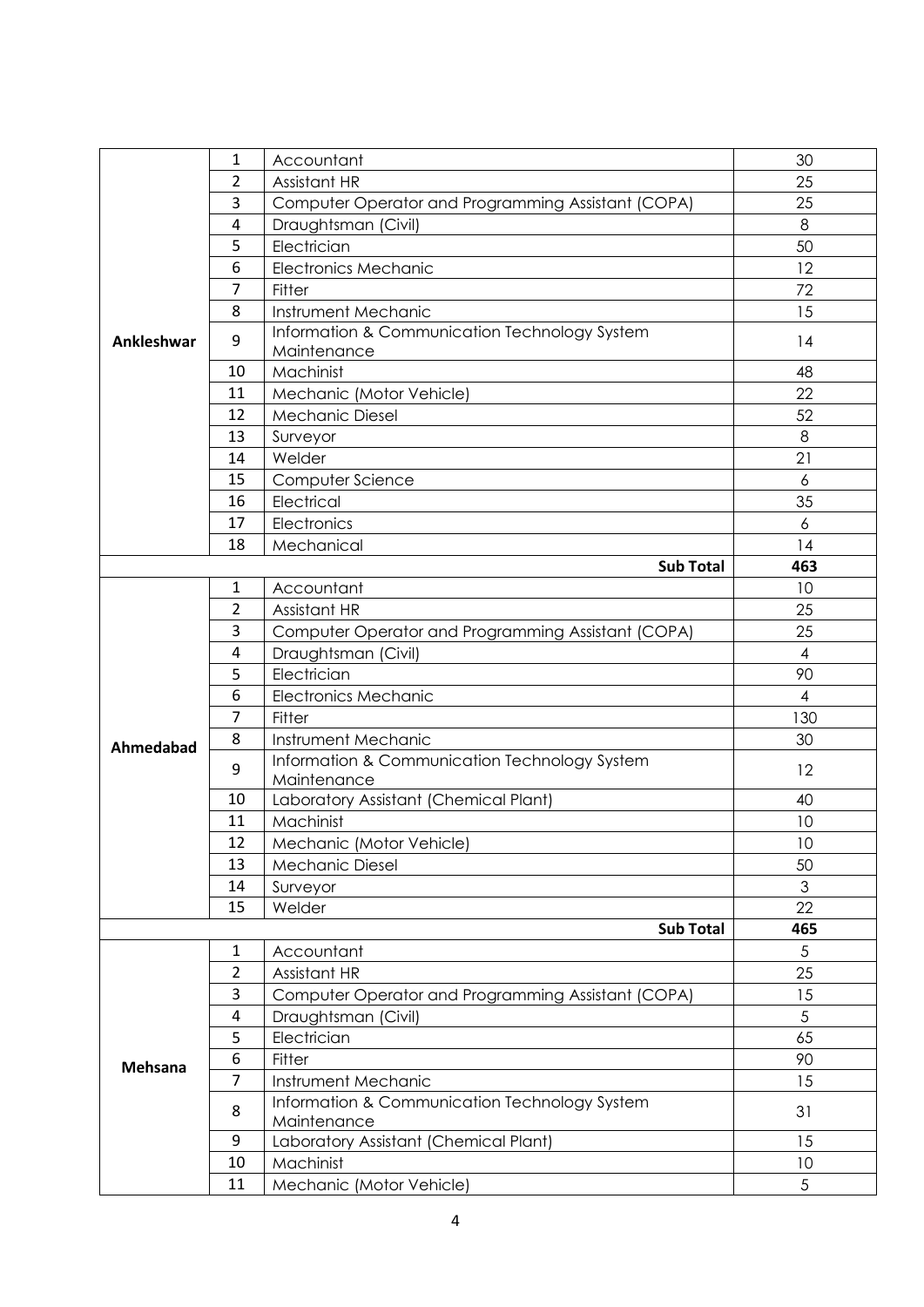|                | 1              | Accountant                                                   | 30             |
|----------------|----------------|--------------------------------------------------------------|----------------|
|                | $\overline{2}$ | Assistant HR                                                 | 25             |
|                | 3              | Computer Operator and Programming Assistant (COPA)           | 25             |
|                | 4              | Draughtsman (Civil)                                          | 8              |
|                | 5              | Electrician                                                  | 50             |
|                | 6              | <b>Electronics Mechanic</b>                                  | 12             |
|                | $\overline{7}$ | Fitter                                                       | 72             |
|                | 8              | Instrument Mechanic                                          | 15             |
| Ankleshwar     | 9              | Information & Communication Technology System<br>Maintenance | 14             |
|                | 10             | Machinist                                                    | 48             |
|                | 11             | Mechanic (Motor Vehicle)                                     | 22             |
|                | 12             | <b>Mechanic Diesel</b>                                       | 52             |
|                | 13             | Surveyor                                                     | 8              |
|                | 14             | Welder                                                       | 21             |
|                | 15             | Computer Science                                             | 6              |
|                | 16             | Electrical                                                   | 35             |
|                | 17             | Electronics                                                  | 6              |
|                | 18             | Mechanical                                                   | 14             |
|                |                | <b>Sub Total</b>                                             | 463            |
|                | 1              | Accountant                                                   | 10             |
|                | $\overline{2}$ | Assistant HR                                                 | 25             |
|                | 3              | Computer Operator and Programming Assistant (COPA)           | 25             |
|                | 4              | Draughtsman (Civil)                                          | $\overline{4}$ |
|                | 5              | Electrician                                                  | 90             |
|                | 6              | <b>Electronics Mechanic</b>                                  | $\overline{4}$ |
|                | $\overline{7}$ | Fitter                                                       | 130            |
| Ahmedabad      | 8              | Instrument Mechanic                                          | 30             |
|                | 9              | Information & Communication Technology System<br>Maintenance | 12             |
|                | 10             | Laboratory Assistant (Chemical Plant)                        | 40             |
|                | 11             | Machinist                                                    | 10             |
|                | 12             | Mechanic (Motor Vehicle)                                     | 10             |
|                | 13             | Mechanic Diesel                                              | 50             |
|                | 14             | Surveyor                                                     | 3              |
|                | 15             | Welder                                                       | 22             |
|                |                | <b>Sub Total</b>                                             | 465            |
|                | $\mathbf{1}$   | Accountant                                                   | 5              |
|                | $\overline{2}$ | Assistant HR                                                 | 25             |
|                | 3              | Computer Operator and Programming Assistant (COPA)           | 15             |
|                | 4              | Draughtsman (Civil)                                          | 5              |
|                | 5              | Electrician                                                  | 65             |
| <b>Mehsana</b> | 6              | Fitter                                                       | 90             |
|                | 7              | Instrument Mechanic                                          | 15             |
|                | 8              | Information & Communication Technology System<br>Maintenance | 31             |
|                | 9              | Laboratory Assistant (Chemical Plant)                        | 15             |
|                | 10             | Machinist                                                    | 10             |
|                | 11             | Mechanic (Motor Vehicle)                                     | 5              |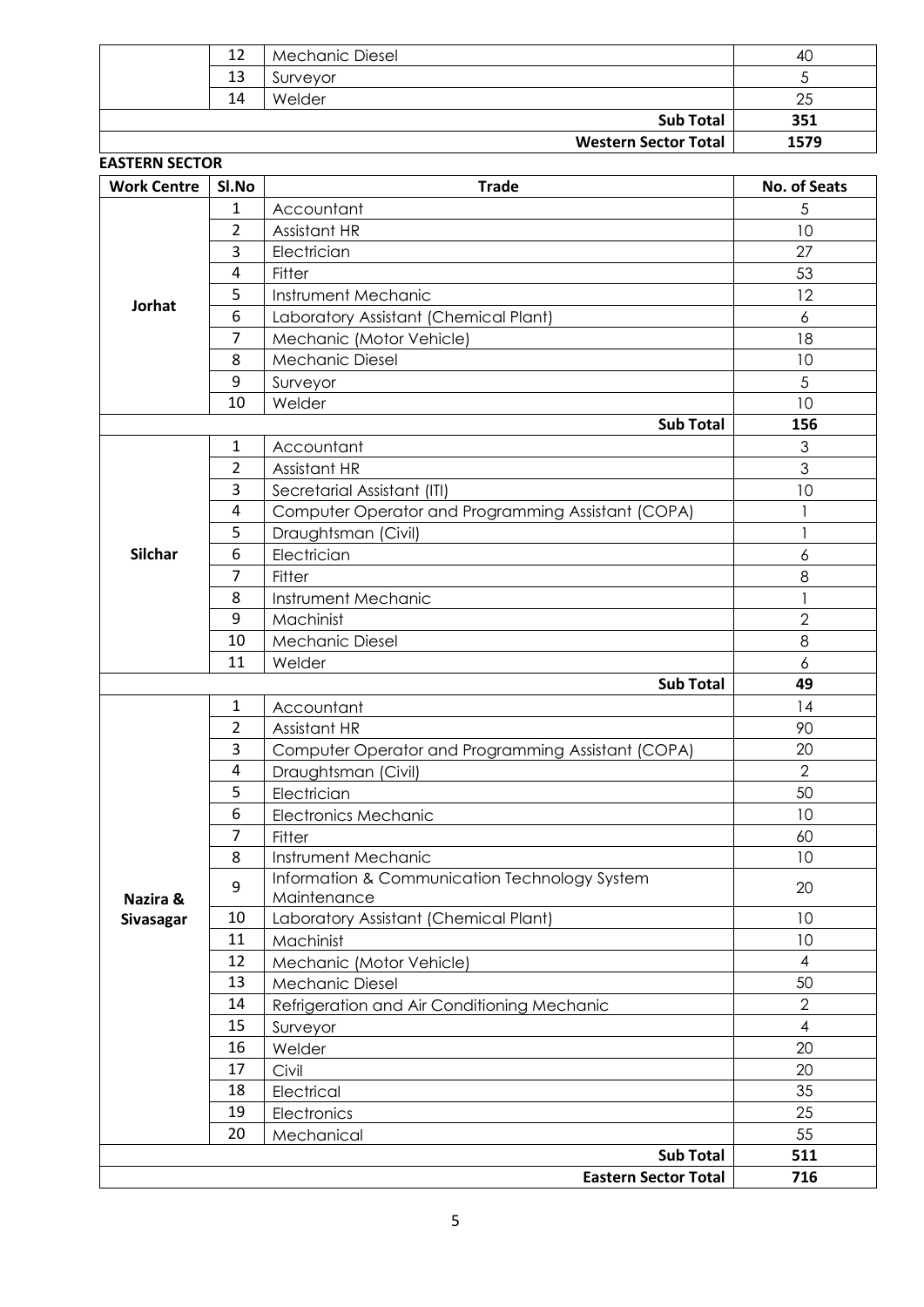| 12 | <b>Mechanic Diesel</b>      | 40   |
|----|-----------------------------|------|
| 13 | Surveyor                    |      |
| 14 | Welder                      | 25   |
|    | <b>Sub Total</b>            | 351  |
|    | <b>Western Sector Total</b> | 1579 |

|                | Sl.No          | <b>Trade</b>                                       | No. of Seats   |
|----------------|----------------|----------------------------------------------------|----------------|
|                | 1              | Accountant                                         | 5              |
|                | 2              | Assistant HR                                       | 10             |
|                | 3              | Electrician                                        | 27             |
|                | 4              | Fitter                                             | 53             |
|                | 5              | Instrument Mechanic                                | 12             |
| Jorhat         | 6              | Laboratory Assistant (Chemical Plant)              | 6              |
|                | 7              | Mechanic (Motor Vehicle)                           | 18             |
|                | 8              | <b>Mechanic Diesel</b>                             | 10             |
|                | 9              | Surveyor                                           | 5              |
|                | 10             | Welder                                             | 10             |
|                |                | <b>Sub Total</b>                                   | 156            |
|                | 1              | Accountant                                         | 3              |
|                | 2              | Assistant HR                                       | 3              |
|                | 3              | Secretarial Assistant (ITI)                        | 10             |
|                | $\overline{4}$ | Computer Operator and Programming Assistant (COPA) |                |
|                | 5              | Draughtsman (Civil)                                |                |
| <b>Silchar</b> | 6              | Electrician                                        | 6              |
|                | 7              | Fitter                                             | 8              |
|                | 8              | Instrument Mechanic                                |                |
|                | 9              | Machinist                                          | $\overline{2}$ |
|                | 10             | <b>Mechanic Diesel</b>                             | 8              |
|                | 11             | Welder                                             | 6              |
|                |                | <b>Sub Total</b>                                   | 49             |
|                | 1              | Accountant                                         | 14             |
|                | 2              | Assistant HR                                       | 90             |
|                | 3              | Computer Operator and Programming Assistant (COPA) | 20             |
|                | 4              | Draughtsman (Civil)                                | $\overline{2}$ |
|                | 5              | Electrician                                        | 50             |
|                | 6              | <b>Electronics Mechanic</b>                        | 10             |
|                | 7              |                                                    |                |
|                | 8              | Fitter<br>Instrument Mechanic                      | 60<br>10       |
|                |                | Information & Communication Technology System      |                |
| Nazira &       | 9              | Maintenance                                        | 20             |
| Sivasagar      | 10             | Laboratory Assistant (Chemical Plant)              | 10             |
|                | 11             | Machinist                                          | 10             |
|                | 12             | Mechanic (Motor Vehicle)                           | 4              |
|                | 13             | Mechanic Diesel                                    | 50             |
|                | 14             | Refrigeration and Air Conditioning Mechanic        | $\overline{2}$ |
|                | 15             | Surveyor                                           | $\overline{4}$ |
|                | 16             | Welder                                             | 20             |
|                | 17             | Civil                                              | 20             |
|                |                |                                                    |                |
|                |                |                                                    |                |
|                | 18             | Electrical                                         | 35             |
|                | 19             | Electronics                                        | 25             |
|                | 20             | Mechanical<br><b>Sub Total</b>                     | 55<br>511      |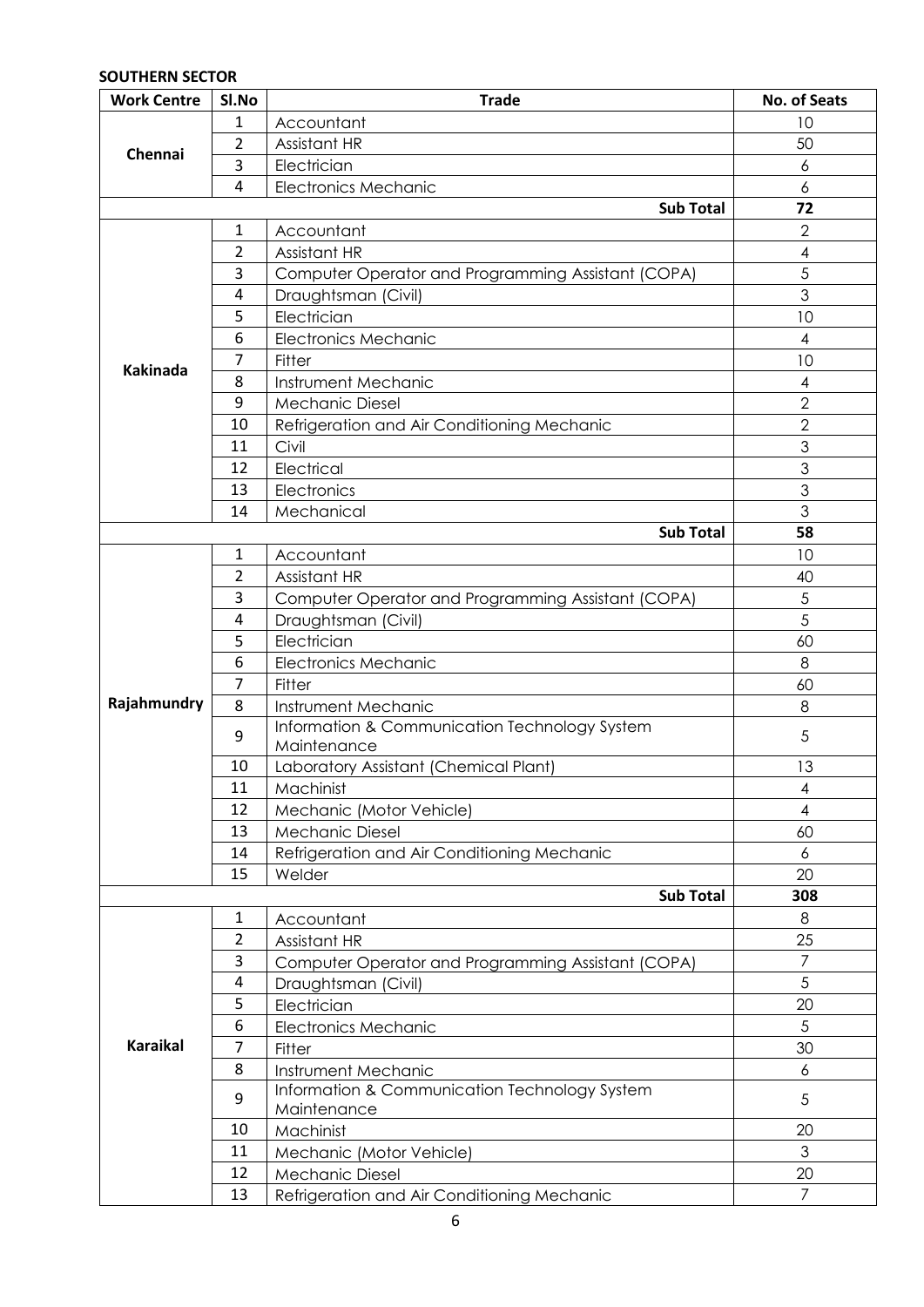### **SOUTHERN SECTOR**

| <b>Work Centre</b> | SI.No          | <b>Trade</b>                                       | No. of Seats             |
|--------------------|----------------|----------------------------------------------------|--------------------------|
|                    | 1              | Accountant                                         | 10                       |
|                    | 2              | Assistant HR                                       | 50                       |
| Chennai            | 3              | Electrician                                        | 6                        |
|                    | 4              | <b>Electronics Mechanic</b>                        | 6                        |
|                    |                | <b>Sub Total</b>                                   | 72                       |
|                    | 1              | Accountant                                         | $\overline{2}$           |
|                    | 2              | Assistant HR                                       | $\overline{4}$           |
|                    | 3              | Computer Operator and Programming Assistant (COPA) | 5                        |
|                    | 4              | Draughtsman (Civil)                                | 3                        |
|                    | 5              | Electrician                                        | 10                       |
|                    | 6              | <b>Electronics Mechanic</b>                        | $\overline{\mathcal{A}}$ |
|                    | 7              | Fitter                                             | 10                       |
| <b>Kakinada</b>    | 8              | Instrument Mechanic                                | $\overline{4}$           |
|                    | 9              | <b>Mechanic Diesel</b>                             | $\overline{2}$           |
|                    | 10             | Refrigeration and Air Conditioning Mechanic        | $\overline{2}$           |
|                    | 11             | Civil                                              | 3                        |
|                    | 12             | Electrical                                         | 3                        |
|                    | 13             | Electronics                                        | 3                        |
|                    | 14             | Mechanical                                         | 3                        |
|                    |                | <b>Sub Total</b>                                   | 58                       |
|                    | 1              | Accountant                                         | 10                       |
|                    | $\overline{2}$ | Assistant HR                                       | 40                       |
| Rajahmundry        | 3              | Computer Operator and Programming Assistant (COPA) | 5                        |
|                    | 4              | Draughtsman (Civil)                                | 5                        |
|                    | 5              | Electrician                                        | 60                       |
|                    | 6              | <b>Electronics Mechanic</b>                        | 8                        |
|                    | 7              | Fitter                                             | 60                       |
|                    | 8              | Instrument Mechanic                                | 8                        |
|                    |                | Information & Communication Technology System      |                          |
|                    | 9              | Maintenance                                        | 5                        |
|                    | 10             | Laboratory Assistant (Chemical Plant)              | 13                       |
|                    | 11             | Machinist                                          | $\overline{\mathcal{A}}$ |
|                    | 12             | Mechanic (Motor Vehicle)                           | $\overline{4}$           |
|                    | 13             | <b>Mechanic Diesel</b>                             | 60                       |
|                    | 14             | Refrigeration and Air Conditioning Mechanic        | 6                        |
|                    | 15             | Welder                                             | 20                       |
|                    |                | <b>Sub Total</b>                                   | 308                      |
|                    | 1              | Accountant                                         | 8                        |
|                    | 2              | Assistant HR                                       | 25                       |
|                    | 3              | Computer Operator and Programming Assistant (COPA) | $\overline{7}$           |
|                    | 4              | Draughtsman (Civil)                                | 5                        |
|                    | 5              | Electrician                                        | 20                       |
|                    | 6              | <b>Electronics Mechanic</b>                        | 5                        |
| <b>Karaikal</b>    | 7              | Fitter                                             | 30                       |
|                    | 8              | Instrument Mechanic                                | 6                        |
|                    |                | Information & Communication Technology System      |                          |
|                    | 9              | Maintenance                                        | 5                        |
|                    | 10             | Machinist                                          | 20                       |
|                    | 11             | Mechanic (Motor Vehicle)                           | 3                        |
|                    | 12             | <b>Mechanic Diesel</b>                             | 20                       |
|                    | 13             | Refrigeration and Air Conditioning Mechanic        | $\overline{7}$           |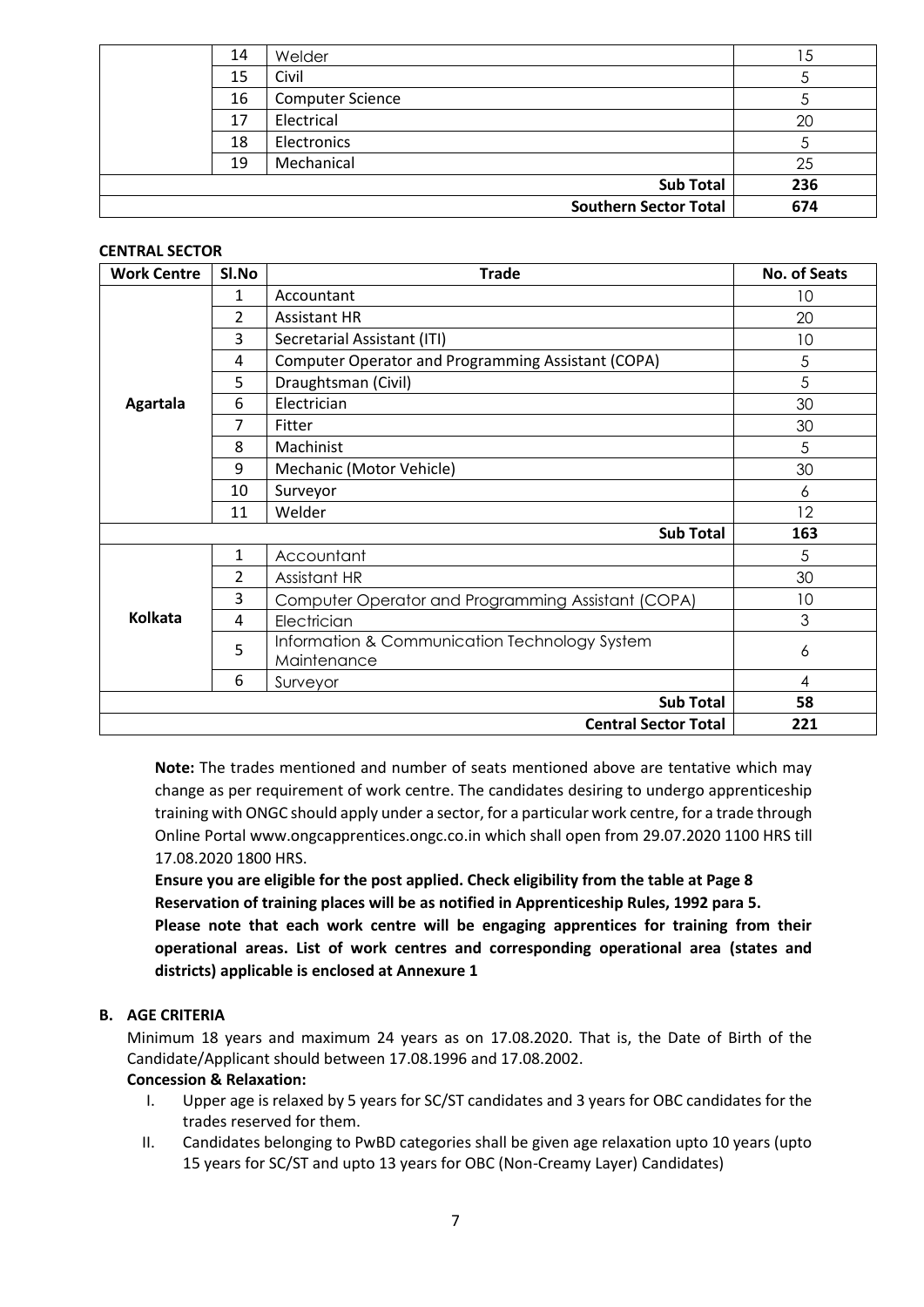| 14 | Welder                       | 5 ا |
|----|------------------------------|-----|
| 15 | Civil                        |     |
| 16 | <b>Computer Science</b>      |     |
| 17 | Electrical                   | 20  |
| 18 | Electronics                  |     |
| 19 | Mechanical                   | 25  |
|    | <b>Sub Total</b>             | 236 |
|    | <b>Southern Sector Total</b> | 674 |

#### **CENTRAL SECTOR**

| <b>Work Centre</b> | SI.No          | <b>Trade</b>                                       | No. of Seats   |
|--------------------|----------------|----------------------------------------------------|----------------|
|                    | 1              | Accountant                                         | 10             |
|                    | $\overline{2}$ | <b>Assistant HR</b>                                | 20             |
|                    | 3              | Secretarial Assistant (ITI)                        | 10             |
|                    | 4              | Computer Operator and Programming Assistant (COPA) | 5              |
|                    | 5              | Draughtsman (Civil)                                | 5              |
| <b>Agartala</b>    | 6              | Electrician                                        | 30             |
|                    | 7              | Fitter                                             | 30             |
|                    | 8              | Machinist                                          | 5              |
|                    | 9              | Mechanic (Motor Vehicle)                           | 30             |
|                    | 10             | Surveyor                                           | 6              |
|                    | 11             | Welder                                             | 12             |
|                    | 163            |                                                    |                |
|                    | $\mathbf{1}$   | Accountant                                         | 5              |
|                    | 2              | Assistant HR                                       | 30             |
|                    | 3              | Computer Operator and Programming Assistant (COPA) | 10             |
| <b>Kolkata</b>     | 4              | Electrician                                        | 3              |
|                    | 5              | Information & Communication Technology System      | 6              |
|                    |                | Maintenance                                        |                |
|                    | 6              | Surveyor                                           | $\overline{4}$ |
|                    |                | <b>Sub Total</b>                                   | 58             |
|                    |                | <b>Central Sector Total</b>                        | 221            |

**Note:** The trades mentioned and number of seats mentioned above are tentative which may change as per requirement of work centre. The candidates desiring to undergo apprenticeship training with ONGC should apply under a sector, for a particular work centre, for a trade through Online Portal www.ongcapprentices.ongc.co.in which shall open from 29.07.2020 1100 HRS till 17.08.2020 1800 HRS.

**Ensure you are eligible for the post applied. Check eligibility from the table at Page 8 Reservation of training places will be as notified in Apprenticeship Rules, 1992 para 5. Please note that each work centre will be engaging apprentices for training from their operational areas. List of work centres and corresponding operational area (states and districts) applicable is enclosed at Annexure 1**

### **B. AGE CRITERIA**

Minimum 18 years and maximum 24 years as on 17.08.2020. That is, the Date of Birth of the Candidate/Applicant should between 17.08.1996 and 17.08.2002.

#### **Concession & Relaxation:**

- I. Upper age is relaxed by 5 years for SC/ST candidates and 3 years for OBC candidates for the trades reserved for them.
- II. Candidates belonging to PwBD categories shall be given age relaxation upto 10 years (upto 15 years for SC/ST and upto 13 years for OBC (Non-Creamy Layer) Candidates)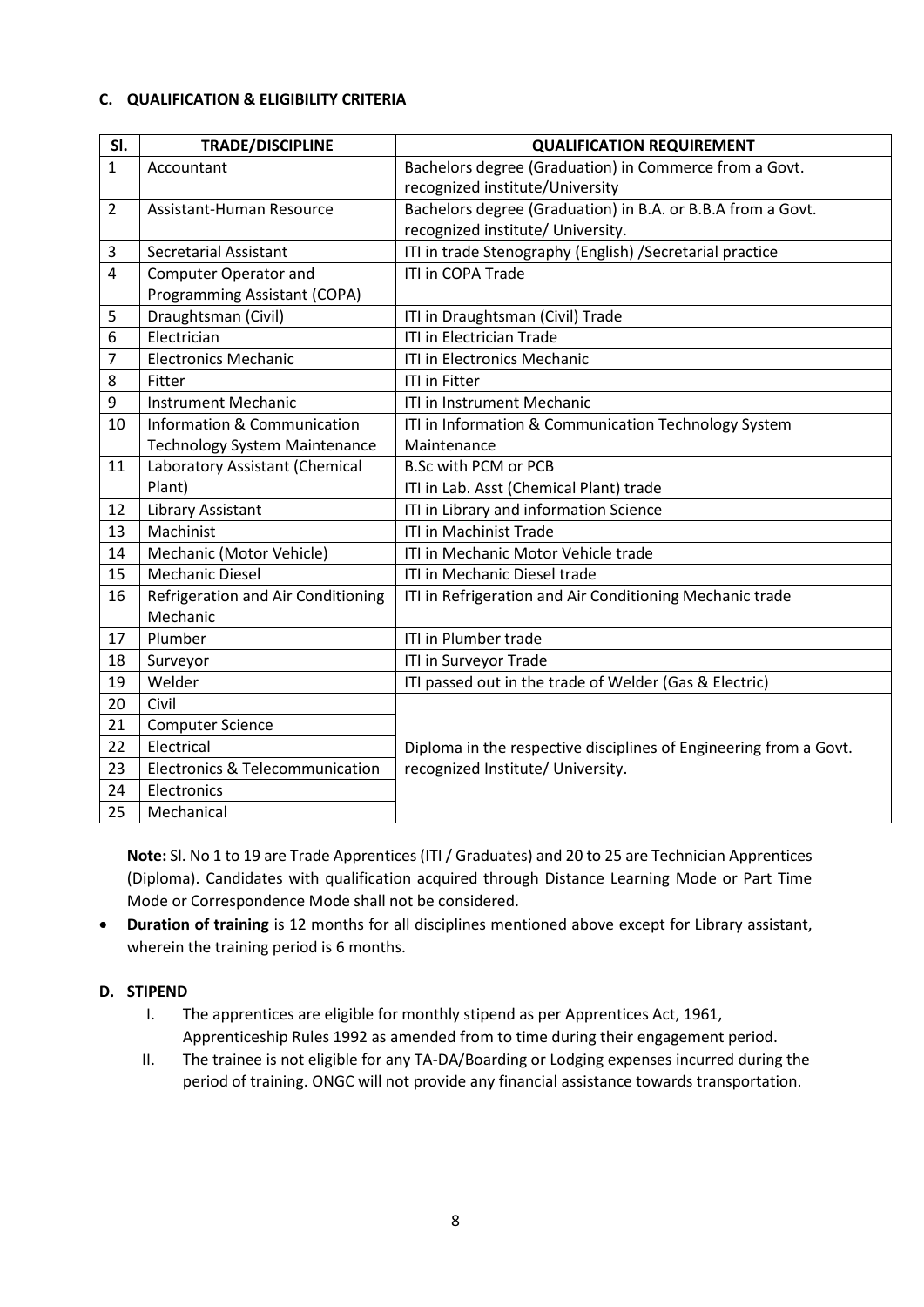#### **C. QUALIFICATION & ELIGIBILITY CRITERIA**

| SI.            | <b>TRADE/DISCIPLINE</b>                        | <b>QUALIFICATION REQUIREMENT</b>                                  |
|----------------|------------------------------------------------|-------------------------------------------------------------------|
| 1              | Accountant                                     | Bachelors degree (Graduation) in Commerce from a Govt.            |
|                |                                                | recognized institute/University                                   |
| $\overline{2}$ | Assistant-Human Resource                       | Bachelors degree (Graduation) in B.A. or B.B.A from a Govt.       |
|                |                                                | recognized institute/ University.                                 |
| 3              | <b>Secretarial Assistant</b>                   | ITI in trade Stenography (English) / Secretarial practice         |
| 4              | <b>Computer Operator and</b>                   | ITI in COPA Trade                                                 |
|                | Programming Assistant (COPA)                   |                                                                   |
| 5              | Draughtsman (Civil)                            | ITI in Draughtsman (Civil) Trade                                  |
| 6              | Electrician                                    | <b>ITI in Electrician Trade</b>                                   |
| 7              | <b>Electronics Mechanic</b>                    | ITI in Electronics Mechanic                                       |
| 8              | Fitter                                         | <b>ITI in Fitter</b>                                              |
| 9              | <b>Instrument Mechanic</b>                     | ITI in Instrument Mechanic                                        |
| 10             | Information & Communication                    | ITI in Information & Communication Technology System              |
|                | <b>Technology System Maintenance</b>           | Maintenance                                                       |
| 11             | Laboratory Assistant (Chemical                 | <b>B.Sc with PCM or PCB</b>                                       |
|                | Plant)                                         | ITI in Lab. Asst (Chemical Plant) trade                           |
| 12             | <b>Library Assistant</b>                       | ITI in Library and information Science                            |
| 13             | Machinist                                      | <b>ITI in Machinist Trade</b>                                     |
| 14             | Mechanic (Motor Vehicle)                       | ITI in Mechanic Motor Vehicle trade                               |
| 15             | <b>Mechanic Diesel</b>                         | ITI in Mechanic Diesel trade                                      |
| 16             | Refrigeration and Air Conditioning<br>Mechanic | ITI in Refrigeration and Air Conditioning Mechanic trade          |
| 17             | Plumber                                        | ITI in Plumber trade                                              |
| 18             | Surveyor                                       | ITI in Surveyor Trade                                             |
| 19             | Welder                                         | ITI passed out in the trade of Welder (Gas & Electric)            |
| 20             | Civil                                          |                                                                   |
| 21             | <b>Computer Science</b>                        |                                                                   |
| 22             | Electrical                                     | Diploma in the respective disciplines of Engineering from a Govt. |
| 23             | <b>Electronics &amp; Telecommunication</b>     | recognized Institute/ University.                                 |
| 24             | Electronics                                    |                                                                   |
| 25             | Mechanical                                     |                                                                   |

**Note:** Sl. No 1 to 19 are Trade Apprentices (ITI / Graduates) and 20 to 25 are Technician Apprentices (Diploma). Candidates with qualification acquired through Distance Learning Mode or Part Time Mode or Correspondence Mode shall not be considered.

 **Duration of training** is 12 months for all disciplines mentioned above except for Library assistant, wherein the training period is 6 months.

#### **D. STIPEND**

- I. The apprentices are eligible for monthly stipend as per Apprentices Act, 1961, Apprenticeship Rules 1992 as amended from to time during their engagement period.
- II. The trainee is not eligible for any TA-DA/Boarding or Lodging expenses incurred during the period of training. ONGC will not provide any financial assistance towards transportation.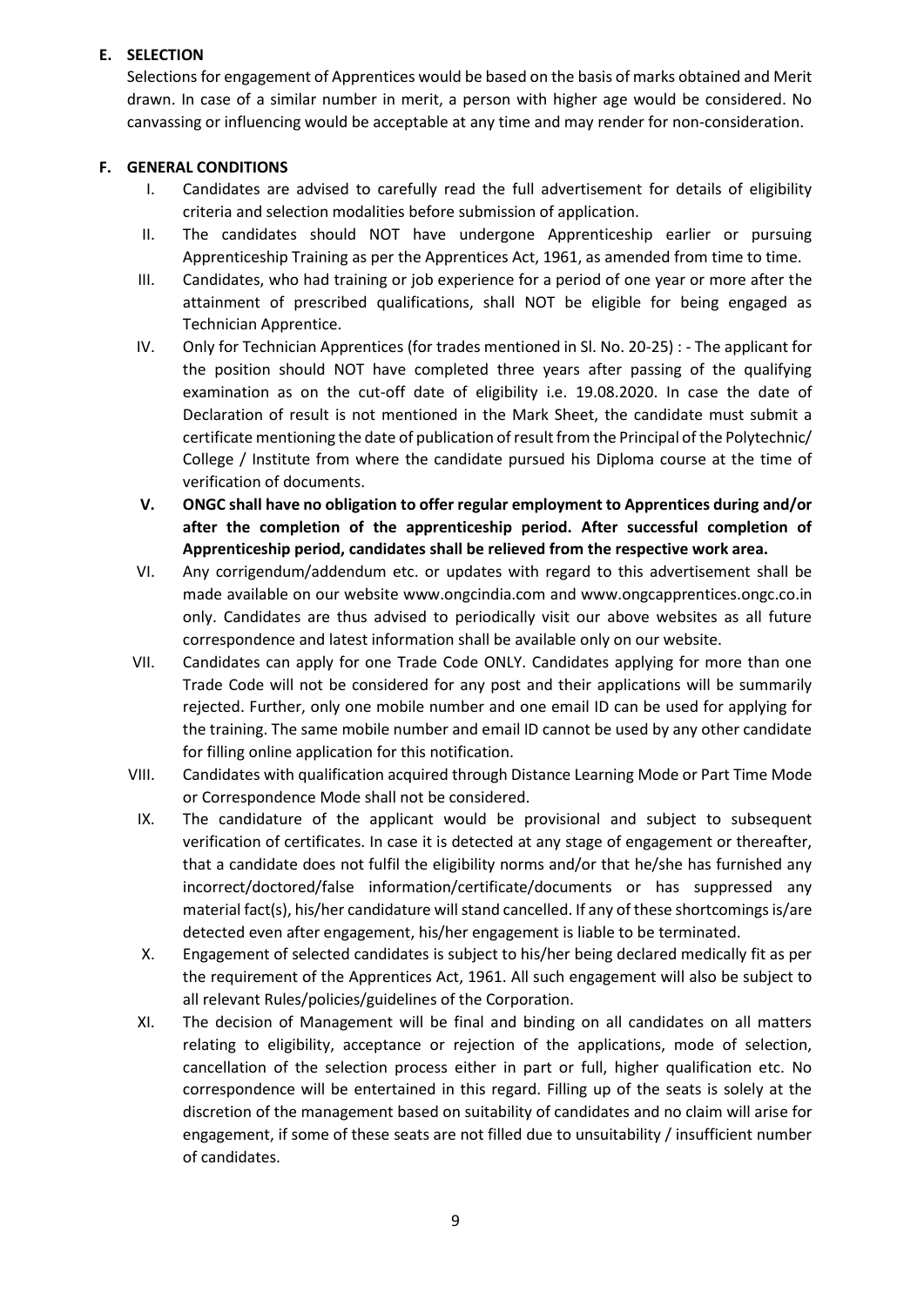## **E. SELECTION**

Selections for engagement of Apprentices would be based on the basis of marks obtained and Merit drawn. In case of a similar number in merit, a person with higher age would be considered. No canvassing or influencing would be acceptable at any time and may render for non-consideration.

### **F. GENERAL CONDITIONS**

- I. Candidates are advised to carefully read the full advertisement for details of eligibility criteria and selection modalities before submission of application.
- II. The candidates should NOT have undergone Apprenticeship earlier or pursuing Apprenticeship Training as per the Apprentices Act, 1961, as amended from time to time.
- III. Candidates, who had training or job experience for a period of one year or more after the attainment of prescribed qualifications, shall NOT be eligible for being engaged as Technician Apprentice.
- IV. Only for Technician Apprentices (for trades mentioned in Sl. No. 20-25) : The applicant for the position should NOT have completed three years after passing of the qualifying examination as on the cut-off date of eligibility i.e. 19.08.2020. In case the date of Declaration of result is not mentioned in the Mark Sheet, the candidate must submit a certificate mentioning the date of publication of result from the Principal of the Polytechnic/ College / Institute from where the candidate pursued his Diploma course at the time of verification of documents.
- **V. ONGC shall have no obligation to offer regular employment to Apprentices during and/or after the completion of the apprenticeship period. After successful completion of Apprenticeship period, candidates shall be relieved from the respective work area.**
- VI. Any corrigendum/addendum etc. or updates with regard to this advertisement shall be made available on our website www.ongcindia.com and www.ongcapprentices.ongc.co.in only. Candidates are thus advised to periodically visit our above websites as all future correspondence and latest information shall be available only on our website.
- VII. Candidates can apply for one Trade Code ONLY. Candidates applying for more than one Trade Code will not be considered for any post and their applications will be summarily rejected. Further, only one mobile number and one email ID can be used for applying for the training. The same mobile number and email ID cannot be used by any other candidate for filling online application for this notification.
- VIII. Candidates with qualification acquired through Distance Learning Mode or Part Time Mode or Correspondence Mode shall not be considered.
- IX. The candidature of the applicant would be provisional and subject to subsequent verification of certificates. In case it is detected at any stage of engagement or thereafter, that a candidate does not fulfil the eligibility norms and/or that he/she has furnished any incorrect/doctored/false information/certificate/documents or has suppressed any material fact(s), his/her candidature will stand cancelled. If any of these shortcomings is/are detected even after engagement, his/her engagement is liable to be terminated.
- X. Engagement of selected candidates is subject to his/her being declared medically fit as per the requirement of the Apprentices Act, 1961. All such engagement will also be subject to all relevant Rules/policies/guidelines of the Corporation.
- XI. The decision of Management will be final and binding on all candidates on all matters relating to eligibility, acceptance or rejection of the applications, mode of selection, cancellation of the selection process either in part or full, higher qualification etc. No correspondence will be entertained in this regard. Filling up of the seats is solely at the discretion of the management based on suitability of candidates and no claim will arise for engagement, if some of these seats are not filled due to unsuitability / insufficient number of candidates.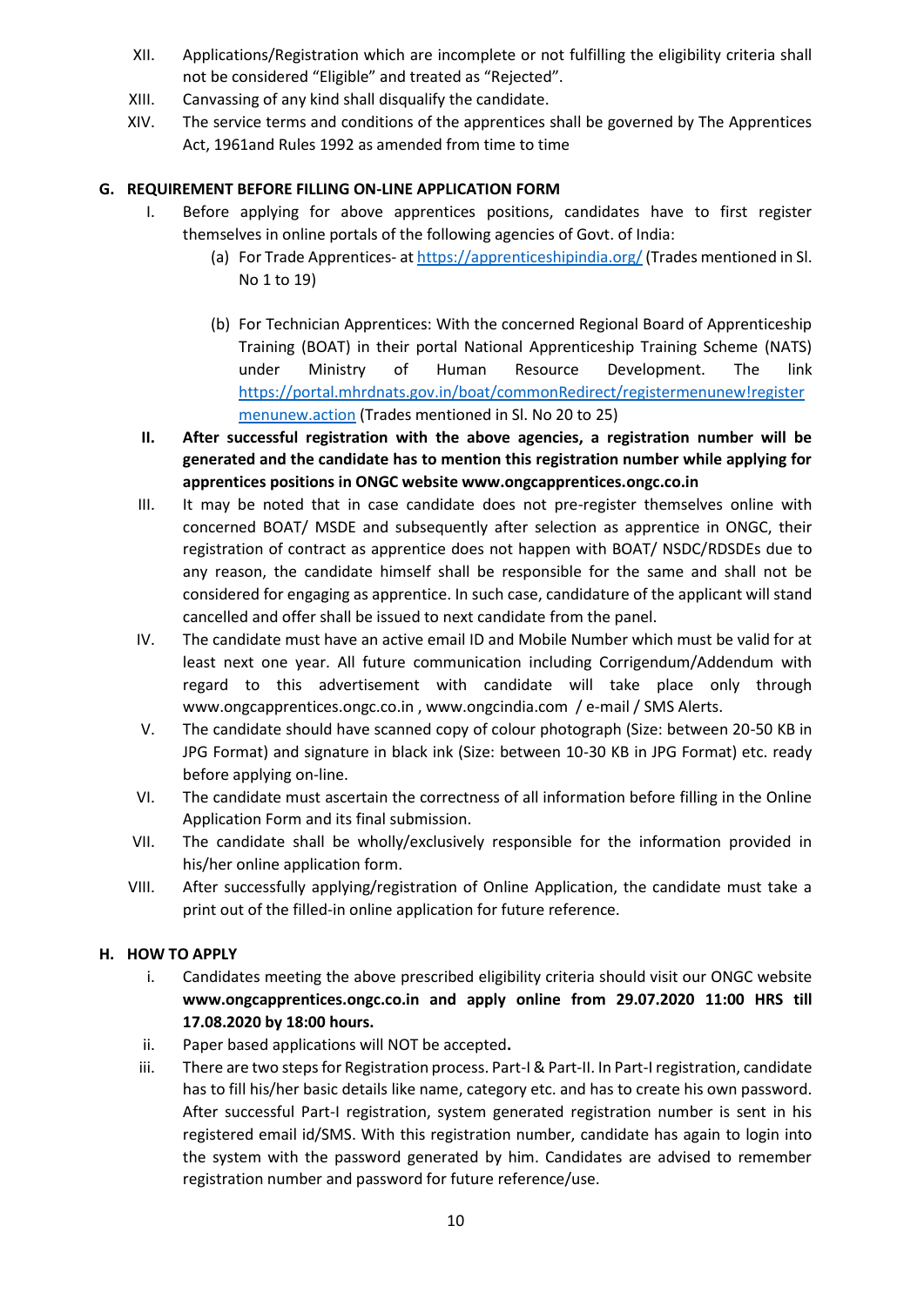- XII. Applications/Registration which are incomplete or not fulfilling the eligibility criteria shall not be considered "Eligible" and treated as "Rejected".
- XIII. Canvassing of any kind shall disqualify the candidate.
- XIV. The service terms and conditions of the apprentices shall be governed by The Apprentices Act, 1961and Rules 1992 as amended from time to time

## **G. REQUIREMENT BEFORE FILLING ON-LINE APPLICATION FORM**

- I. Before applying for above apprentices positions, candidates have to first register themselves in online portals of the following agencies of Govt. of India:
	- (a) For Trade Apprentices- a[t https://apprenticeshipindia.org/](https://apprenticeshipindia.org/) (Trades mentioned in Sl. No 1 to 19)
	- (b) For Technician Apprentices: With the concerned Regional Board of Apprenticeship Training (BOAT) in their portal National Apprenticeship Training Scheme (NATS) under Ministry of Human Resource Development. The link [https://portal.mhrdnats.gov.in/boat/commonRedirect/registermenunew!register](https://portal.mhrdnats.gov.in/boat/commonRedirect/registermenunew!registermenunew.action) [menunew.action](https://portal.mhrdnats.gov.in/boat/commonRedirect/registermenunew!registermenunew.action) (Trades mentioned in Sl. No 20 to 25)
- **II. After successful registration with the above agencies, a registration number will be generated and the candidate has to mention this registration number while applying for apprentices positions in ONGC website www.ongcapprentices.ongc.co.in**
- III. It may be noted that in case candidate does not pre-register themselves online with concerned BOAT/ MSDE and subsequently after selection as apprentice in ONGC, their registration of contract as apprentice does not happen with BOAT/ NSDC/RDSDEs due to any reason, the candidate himself shall be responsible for the same and shall not be considered for engaging as apprentice. In such case, candidature of the applicant will stand cancelled and offer shall be issued to next candidate from the panel.
- IV. The candidate must have an active email ID and Mobile Number which must be valid for at least next one year. All future communication including Corrigendum/Addendum with regard to this advertisement with candidate will take place only through www.ongcapprentices.ongc.co.in , www.ongcindia.com / e-mail / SMS Alerts.
- V. The candidate should have scanned copy of colour photograph (Size: between 20-50 KB in JPG Format) and signature in black ink (Size: between 10-30 KB in JPG Format) etc. ready before applying on-line.
- VI. The candidate must ascertain the correctness of all information before filling in the Online Application Form and its final submission.
- VII. The candidate shall be wholly/exclusively responsible for the information provided in his/her online application form.
- VIII. After successfully applying/registration of Online Application, the candidate must take a print out of the filled-in online application for future reference.

### **H. HOW TO APPLY**

- i. Candidates meeting the above prescribed eligibility criteria should visit our ONGC website **www.ongcapprentices.ongc.co.in and apply online from 29.07.2020 11:00 HRS till 17.08.2020 by 18:00 hours.**
- ii. Paper based applications will NOT be accepted**.**
- iii. There are two steps for Registration process. Part-I & Part-II. In Part-I registration, candidate has to fill his/her basic details like name, category etc. and has to create his own password. After successful Part-I registration, system generated registration number is sent in his registered email id/SMS. With this registration number, candidate has again to login into the system with the password generated by him. Candidates are advised to remember registration number and password for future reference/use.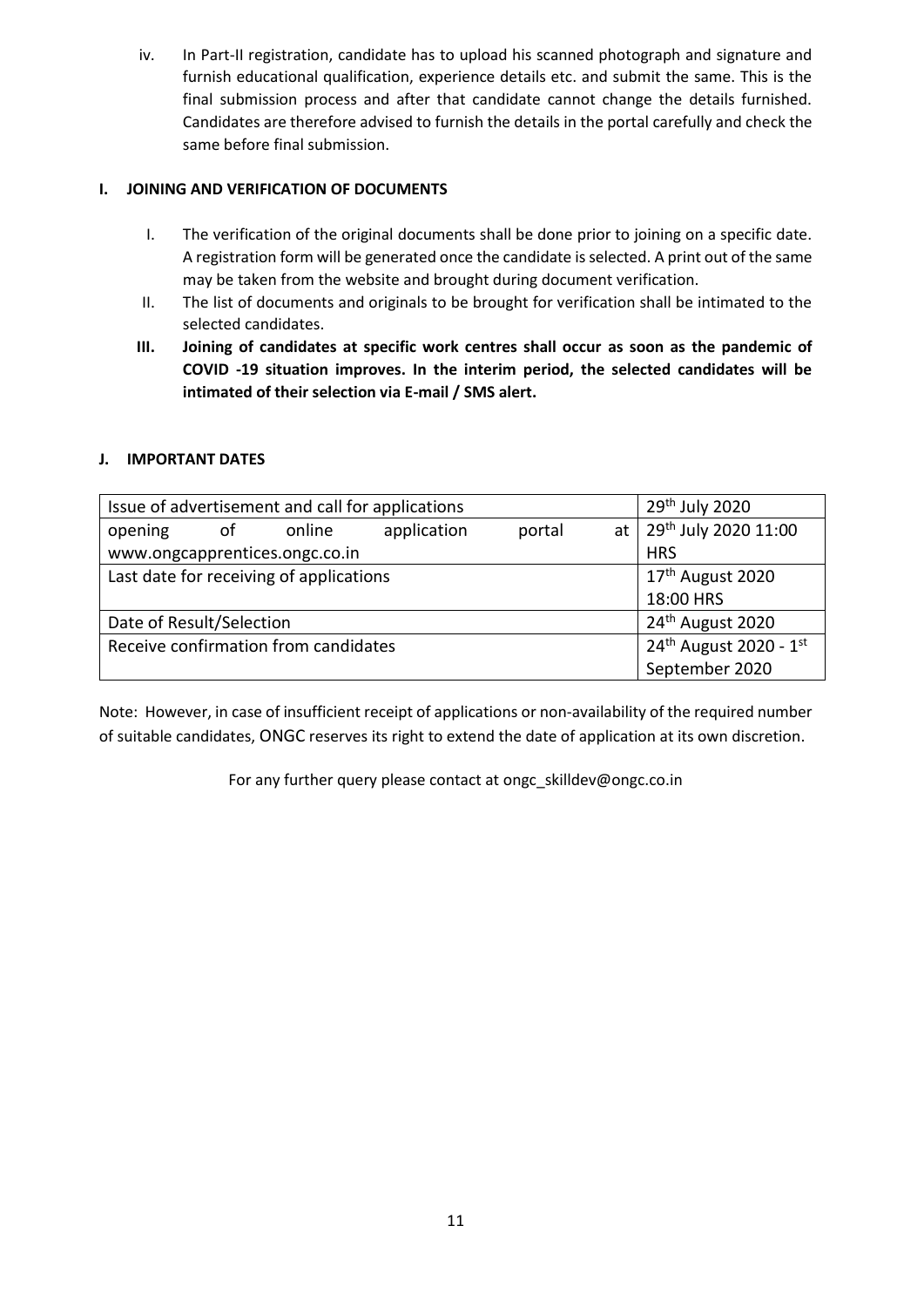iv. In Part-II registration, candidate has to upload his scanned photograph and signature and furnish educational qualification, experience details etc. and submit the same. This is the final submission process and after that candidate cannot change the details furnished. Candidates are therefore advised to furnish the details in the portal carefully and check the same before final submission.

## **I. JOINING AND VERIFICATION OF DOCUMENTS**

- I. The verification of the original documents shall be done prior to joining on a specific date. A registration form will be generated once the candidate is selected. A print out of the same may be taken from the website and brought during document verification.
- II. The list of documents and originals to be brought for verification shall be intimated to the selected candidates.
- **III. Joining of candidates at specific work centres shall occur as soon as the pandemic of COVID -19 situation improves. In the interim period, the selected candidates will be intimated of their selection via E-mail / SMS alert.**

## **J. IMPORTANT DATES**

| Issue of advertisement and call for applications | 29 <sup>th</sup> July 2020         |        |             |        |    |                              |
|--------------------------------------------------|------------------------------------|--------|-------------|--------|----|------------------------------|
| opening                                          | of                                 | online | application | portal | at | 29th July 2020 11:00         |
| www.ongcapprentices.ongc.co.in                   | <b>HRS</b>                         |        |             |        |    |                              |
| Last date for receiving of applications          |                                    |        |             |        |    | 17 <sup>th</sup> August 2020 |
|                                                  | 18:00 HRS                          |        |             |        |    |                              |
| Date of Result/Selection                         | 24 <sup>th</sup> August 2020       |        |             |        |    |                              |
| Receive confirmation from candidates             | 24 <sup>th</sup> August 2020 - 1st |        |             |        |    |                              |
|                                                  | September 2020                     |        |             |        |    |                              |

Note: However, in case of insufficient receipt of applications or non-availability of the required number of suitable candidates, ONGC reserves its right to extend the date of application at its own discretion.

For any further query please contact at ongc\_skilldev@ongc.co.in